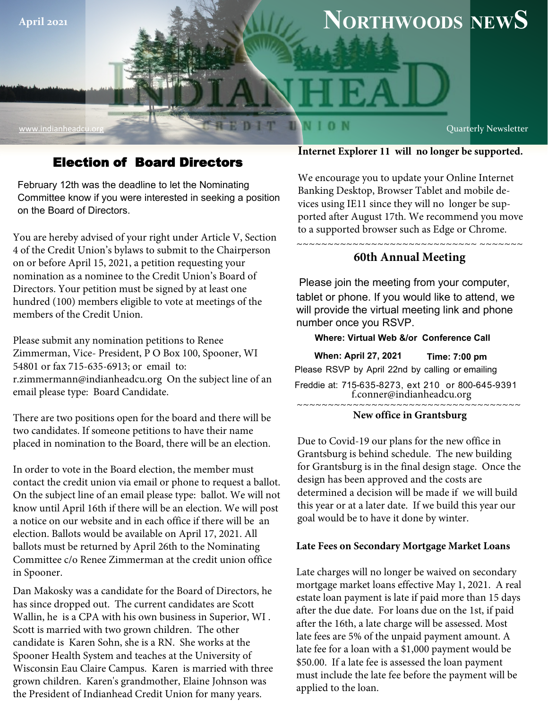

www.indianheadcu.org

# **April 202<sup>1</sup> NORTHWOODS NEWS**

Quarterly Newsletter

## Election of Board Directors

February 12th was the deadline to let the Nominating Committee know if you were interested in seeking a position on the Board of Directors.

You are hereby advised of your right under Article V, Section 4 of the Credit Union's bylaws to submit to the Chairperson on or before April 15, 2021, a petition requesting your nomination as a nominee to the Credit Union's Board of Directors. Your petition must be signed by at least one hundred (100) members eligible to vote at meetings of the members of the Credit Union.

Please submit any nomination petitions to Renee Zimmerman, Vice- President, P O Box 100, Spooner, WI 54801 or fax 715-635-6913; or email to: r.zimmermann@indianheadcu.org On the subject line of an email please type: Board Candidate.

There are two positions open for the board and there will be two candidates. If someone petitions to have their name placed in nomination to the Board, there will be an election.

In order to vote in the Board election, the member must contact the credit union via email or phone to request a ballot. On the subject line of an email please type: ballot. We will not know until April 16th if there will be an election. We will post a notice on our website and in each office if there will be an election. Ballots would be available on April 17, 2021. All ballots must be returned by April 26th to the Nominating Committee c/o Renee Zimmerman at the credit union office in Spooner.

Dan Makosky was a candidate for the Board of Directors, he has since dropped out. The current candidates are Scott Wallin, he is a CPA with his own business in Superior, WI . Scott is married with two grown children. The other candidate is Karen Sohn, she is a RN. She works at the Spooner Health System and teaches at the University of Wisconsin Eau Claire Campus. Karen is married with three grown children. Karen's grandmother, Elaine Johnson was the President of Indianhead Credit Union for many years.

#### **Internet Explorer 11 will no longer be supported.**

We encourage you to update your Online Internet Banking Desktop, Browser Tablet and mobile devices using IE11 since they will no longer be supported after August 17th. We recommend you move to a supported browser such as Edge or Chrome.

## **60th Annual Meeting**

 $\overline{\phantom{a}}$ 

VION

~~~~~~~~~~~~~~~~~~~~~~~~~

Please join the meeting from your computer, tablet or phone. If you would like to attend, we will provide the virtual meeting link and phone number once you RSVP.

#### **Where: Virtual Web &/or Conference Call**

**When: April 27, 2021 Time: 7:00 pm** Please RSVP by April 22nd by calling or emailing Freddie at: 715-635-8273, ext 210 or 800-645-9391 f.conner@indianheadcu.org

#### ~~~~~~~~~~~~~~~~~~~~~~~~~~~~~~~~~~~~

#### **New office in Grantsburg**

Due to Covid-19 our plans for the new office in Grantsburg is behind schedule. The new building for Grantsburg is in the final design stage. Once the design has been approved and the costs are determined a decision will be made if we will build this year or at a later date. If we build this year our goal would be to have it done by winter.

#### **Late Fees on Secondary Mortgage Market Loans**

Late charges will no longer be waived on secondary mortgage market loans effective May 1, 2021. A real estate loan payment is late if paid more than 15 days after the due date. For loans due on the 1st, if paid after the 16th, a late charge will be assessed. Most late fees are 5% of the unpaid payment amount. A late fee for a loan with a \$1,000 payment would be \$50.00. If a late fee is assessed the loan payment must include the late fee before the payment will be applied to the loan.